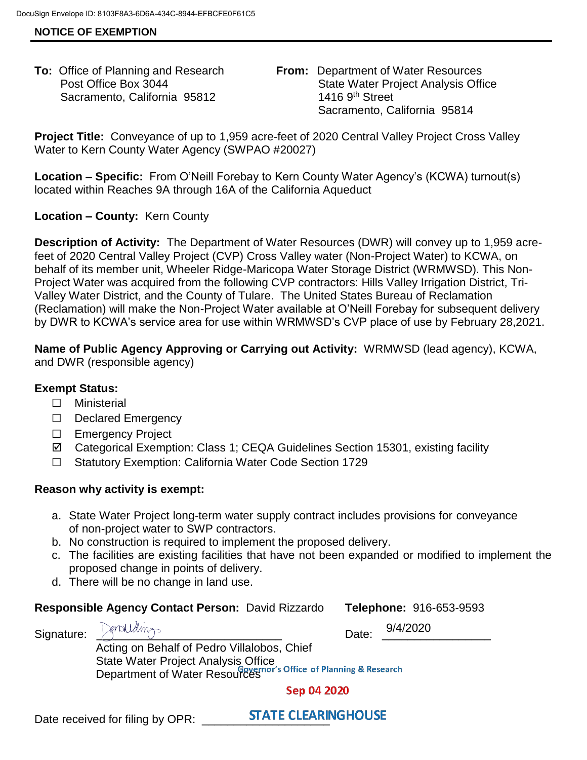## **NOTICE OF EXEMPTION**

Sacramento, California 95812 1416 9th Street

**To:** Office of Planning and Research **From:** Department of Water Resources Post Office Box 3044 State Water Project Analysis Office Sacramento, California 95814

**Project Title:** Conveyance of up to 1,959 acre-feet of 2020 Central Valley Project Cross Valley Water to Kern County Water Agency (SWPAO #20027)

**Location – Specific:** From O'Neill Forebay to Kern County Water Agency's (KCWA) turnout(s) located within Reaches 9A through 16A of the California Aqueduct

# **Location – County:** Kern County

**Description of Activity:** The Department of Water Resources (DWR) will convey up to 1,959 acrefeet of 2020 Central Valley Project (CVP) Cross Valley water (Non-Project Water) to KCWA, on behalf of its member unit, Wheeler Ridge-Maricopa Water Storage District (WRMWSD). This Non-Project Water was acquired from the following CVP contractors: Hills Valley Irrigation District, Tri-Valley Water District, and the County of Tulare. The United States Bureau of Reclamation (Reclamation) will make the Non-Project Water available at O'Neill Forebay for subsequent delivery by DWR to KCWA's service area for use within WRMWSD's CVP place of use by February 28,2021.

**Name of Public Agency Approving or Carrying out Activity:** WRMWSD (lead agency), KCWA, and DWR (responsible agency)

## **Exempt Status:**

- ☐ Ministerial
- ☐ Declared Emergency
- ☐ Emergency Project
- Categorical Exemption: Class 1; CEQA Guidelines Section 15301, existing facility
- ☐ Statutory Exemption: California Water Code Section 1729

## **Reason why activity is exempt:**

- a. State Water Project long-term water supply contract includes provisions for conveyance of non-project water to SWP contractors.
- b. No construction is required to implement the proposed delivery.
- c. The facilities are existing facilities that have not been expanded or modified to implement the proposed change in points of delivery.
- d. There will be no change in land use.

## **Responsible Agency Contact Person:** David Rizzardo **Telephone:** 916-653-9593

 $S$ ignature:  $\bigcup_{i=1}^{\infty}$   $\bigcup_{i=1}^{\infty}$   $\bigcup_{i=1}^{\infty}$   $\bigcup_{i=1}^{\infty}$   $\bigcup_{i=1}^{\infty}$   $\bigcup_{i=1}^{\infty}$   $\bigcup_{i=1}^{\infty}$   $\bigcup_{i=1}^{\infty}$   $\bigcup_{i=1}^{\infty}$   $\bigcup_{i=1}^{\infty}$   $\bigcup_{i=1}^{\infty}$   $\bigcup_{i=1}^{\infty}$   $\bigcup_{i=1}^{\infty}$ 

9/4/2020

 Acting on Behalf of Pedro Villalobos, Chief State Water Project Analysis Office Department of Water Resources of Planning & Research

Sep 04 2020

Date received for filing by OPR: **STATE CLEARINGHOUSE**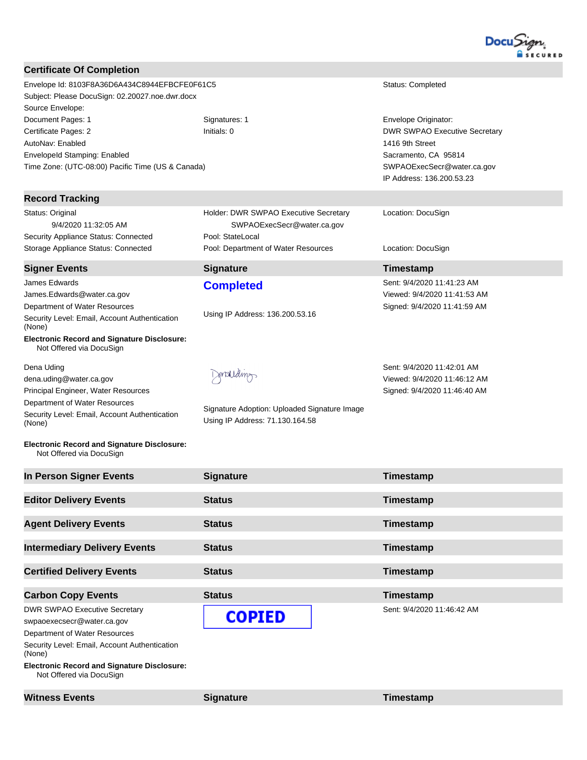

| <b>Certificate Of Completion</b>                                                                                     |                                                                     |                                                              |
|----------------------------------------------------------------------------------------------------------------------|---------------------------------------------------------------------|--------------------------------------------------------------|
| Envelope Id: 8103F8A36D6A434C8944EFBCFE0F61C5<br>Subject: Please DocuSign: 02.20027.noe.dwr.docx<br>Source Envelope: |                                                                     | <b>Status: Completed</b>                                     |
| Document Pages: 1                                                                                                    | Signatures: 1<br>Initials: 0                                        | Envelope Originator:<br><b>DWR SWPAO Executive Secretary</b> |
| Certificate Pages: 2<br>AutoNav: Enabled                                                                             |                                                                     | 1416 9th Street                                              |
| <b>EnvelopeId Stamping: Enabled</b>                                                                                  |                                                                     | Sacramento, CA 95814                                         |
| Time Zone: (UTC-08:00) Pacific Time (US & Canada)                                                                    |                                                                     | SWPAOExecSecr@water.ca.gov<br>IP Address: 136.200.53.23      |
| <b>Record Tracking</b>                                                                                               |                                                                     |                                                              |
| Status: Original<br>9/4/2020 11:32:05 AM                                                                             | Holder: DWR SWPAO Executive Secretary<br>SWPAOExecSecr@water.ca.gov | Location: DocuSign                                           |
| Security Appliance Status: Connected<br>Storage Appliance Status: Connected                                          | Pool: StateLocal<br>Pool: Department of Water Resources             | Location: DocuSign                                           |
| <b>Signer Events</b>                                                                                                 | <b>Signature</b>                                                    | Timestamp                                                    |
| James Edwards                                                                                                        | <b>Completed</b>                                                    | Sent: 9/4/2020 11:41:23 AM                                   |
| James.Edwards@water.ca.gov                                                                                           |                                                                     | Viewed: 9/4/2020 11:41:53 AM                                 |
| Department of Water Resources                                                                                        | Using IP Address: 136.200.53.16                                     | Signed: 9/4/2020 11:41:59 AM                                 |
| Security Level: Email, Account Authentication<br>(None)<br><b>Electronic Record and Signature Disclosure:</b>        |                                                                     |                                                              |
| Not Offered via DocuSign                                                                                             |                                                                     |                                                              |
| Dena Uding                                                                                                           |                                                                     | Sent: 9/4/2020 11:42:01 AM                                   |
| dena.uding@water.ca.gov                                                                                              | Sonarguella                                                         | Viewed: 9/4/2020 11:46:12 AM                                 |
| Principal Engineer, Water Resources                                                                                  |                                                                     | Signed: 9/4/2020 11:46:40 AM                                 |
| Department of Water Resources<br>Security Level: Email, Account Authentication                                       | Signature Adoption: Uploaded Signature Image                        |                                                              |
| (None)                                                                                                               | Using IP Address: 71.130.164.58                                     |                                                              |
| <b>Electronic Record and Signature Disclosure:</b><br>Not Offered via DocuSign                                       |                                                                     |                                                              |
| In Person Signer Events                                                                                              | <b>Signature</b>                                                    | Timestamp                                                    |
| <b>Editor Delivery Events</b>                                                                                        | <b>Status</b>                                                       | Timestamp                                                    |
| <b>Agent Delivery Events</b>                                                                                         | <b>Status</b>                                                       | Timestamp                                                    |
| <b>Intermediary Delivery Events</b>                                                                                  | <b>Status</b>                                                       | Timestamp                                                    |
| <b>Certified Delivery Events</b>                                                                                     | <b>Status</b>                                                       | Timestamp                                                    |
| <b>Carbon Copy Events</b>                                                                                            | <b>Status</b>                                                       | Timestamp                                                    |
| <b>DWR SWPAO Executive Secretary</b>                                                                                 |                                                                     | Sent: 9/4/2020 11:46:42 AM                                   |
| swpaoexecsecr@water.ca.gov                                                                                           | <b>COPIED</b>                                                       |                                                              |
| Department of Water Resources                                                                                        |                                                                     |                                                              |
| Security Level: Email, Account Authentication                                                                        |                                                                     |                                                              |
| (None)<br><b>Electronic Pecerd and Signature Disclosure:</b>                                                         |                                                                     |                                                              |

**Electronic Record and Signature Disclosure:**  Not Offered via DocuSign

**Witness Events Signature Signature Timestamp**